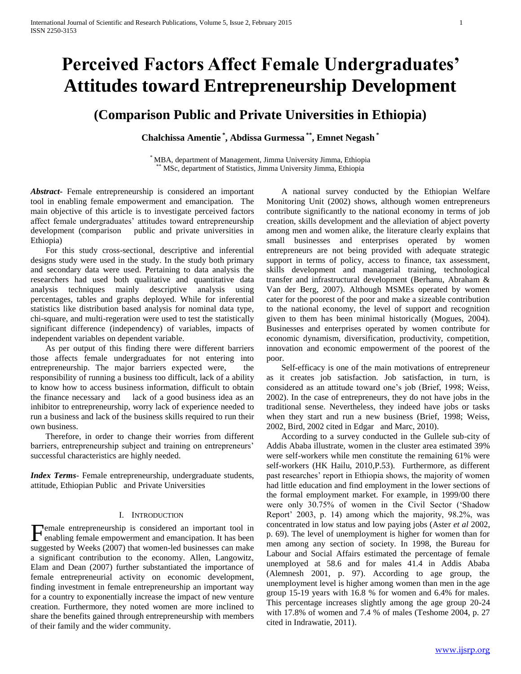# **Perceived Factors Affect Female Undergraduates' Attitudes toward Entrepreneurship Development**

# **(Comparison Public and Private Universities in Ethiopia)**

**Chalchissa Amentie \* , Abdissa Gurmessa \*\* , Emnet Negash \***

\* MBA, department of Management, Jimma University Jimma, Ethiopia MSc, department of Statistics, Jimma University Jimma, Ethiopia

*Abstract***-** Female entrepreneurship is considered an important tool in enabling female empowerment and emancipation. The main objective of this article is to investigate perceived factors affect female undergraduates' attitudes toward entrepreneurship development (comparison public and private universities in Ethiopia)

 For this study cross-sectional, descriptive and inferential designs study were used in the study. In the study both primary and secondary data were used. Pertaining to data analysis the researchers had used both qualitative and quantitative data analysis techniques mainly descriptive analysis using percentages, tables and graphs deployed. While for inferential statistics like distribution based analysis for nominal data type, chi-square, and multi-regeration were used to test the statistically significant difference (independency) of variables, impacts of independent variables on dependent variable.

 As per output of this finding there were different barriers those affects female undergraduates for not entering into entrepreneurship. The major barriers expected were, the responsibility of running a business too difficult, lack of a ability to know how to access business information, difficult to obtain the finance necessary and lack of a good business idea as an inhibitor to entrepreneurship, worry lack of experience needed to run a business and lack of the business skills required to run their own business.

 Therefore, in order to change their worries from different barriers, entrepreneurship subject and training on entrepreneurs' successful characteristics are highly needed.

*Index Terms*- Female entrepreneurship, undergraduate students, attitude, Ethiopian Public and Private Universities

# I. INTRODUCTION

emale entrepreneurship is considered an important tool in Female entrepreneurship is considered an important tool in<br>enabling female empowerment and emancipation. It has been suggested by Weeks (2007) that women-led businesses can make a significant contribution to the economy. Allen, Langowitz, Elam and Dean (2007) further substantiated the importance of female entrepreneurial activity on economic development, finding investment in female entrepreneurship an important way for a country to exponentially increase the impact of new venture creation. Furthermore, they noted women are more inclined to share the benefits gained through entrepreneurship with members of their family and the wider community.

 A national survey conducted by the Ethiopian Welfare Monitoring Unit (2002) shows, although women entrepreneurs contribute significantly to the national economy in terms of job creation, skills development and the alleviation of abject poverty among men and women alike, the literature clearly explains that small businesses and enterprises operated by women entrepreneurs are not being provided with adequate strategic support in terms of policy, access to finance, tax assessment, skills development and managerial training, technological transfer and infrastructural development (Berhanu, Abraham & Van der Berg, 2007). Although MSMEs operated by women cater for the poorest of the poor and make a sizeable contribution to the national economy, the level of support and recognition given to them has been minimal historically (Mogues, 2004). Businesses and enterprises operated by women contribute for economic dynamism, diversification, productivity, competition, innovation and economic empowerment of the poorest of the poor.

 Self-efficacy is one of the main motivations of entrepreneur as it creates job satisfaction. Job satisfaction, in turn, is considered as an attitude toward one's job (Brief, 1998; Weiss, 2002). In the case of entrepreneurs, they do not have jobs in the traditional sense. Nevertheless, they indeed have jobs or tasks when they start and run a new business (Brief, 1998; Weiss, 2002, Bird, 2002 cited in Edgar and Marc, 2010).

 According to a survey conducted in the Gullele sub-city of Addis Ababa illustrate, women in the cluster area estimated 39% were self-workers while men constitute the remaining 61% were self-workers (HK Hailu, 2010,P.53). Furthermore, as different past researches' report in Ethiopia shows, the majority of women had little education and find employment in the lower sections of the formal employment market. For example, in 1999/00 there were only 30.75% of women in the Civil Sector ('Shadow Report' 2003, p. 14) among which the majority, 98.2%, was concentrated in low status and low paying jobs (Aster *et al* 2002, p. 69). The level of unemployment is higher for women than for men among any section of society. In 1998, the Bureau for Labour and Social Affairs estimated the percentage of female unemployed at 58.6 and for males 41.4 in Addis Ababa (Alemnesh 2001, p. 97). According to age group, the unemployment level is higher among women than men in the age group 15-19 years with 16.8 % for women and 6.4% for males. This percentage increases slightly among the age group 20-24 with 17.8% of women and 7.4 % of males (Teshome 2004, p. 27 cited in Indrawatie, 2011).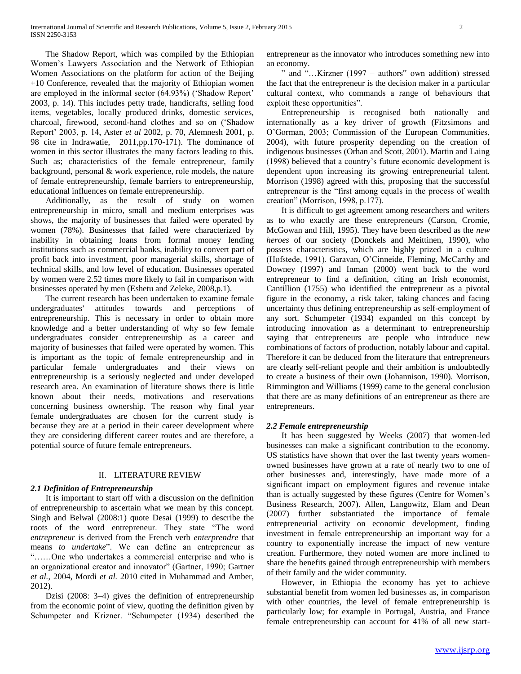The Shadow Report, which was compiled by the Ethiopian Women's Lawyers Association and the Network of Ethiopian Women Associations on the platform for action of the Beijing +10 Conference, revealed that the majority of Ethiopian women are employed in the informal sector (64.93%) ('Shadow Report' 2003, p. 14). This includes petty trade, handicrafts, selling food items, vegetables, locally produced drinks, domestic services, charcoal, firewood, second-hand clothes and so on ('Shadow Report' 2003, p. 14, Aster *et al* 2002, p. 70, Alemnesh 2001, p. 98 cite in Indrawatie, 2011,pp.170-171). The dominance of women in this sector illustrates the many factors leading to this. Such as; characteristics of the female entrepreneur, family background, personal & work experience, role models, the nature of female entrepreneurship, female barriers to entrepreneurship, educational influences on female entrepreneurship.

 Additionally, as the result of study on women entrepreneurship in micro, small and medium enterprises was shows, the majority of businesses that failed were operated by women (78%). Businesses that failed were characterized by inability in obtaining loans from formal money lending institutions such as commercial banks, inability to convert part of profit back into investment, poor managerial skills, shortage of technical skills, and low level of education. Businesses operated by women were 2.52 times more likely to fail in comparison with businesses operated by men (Eshetu and Zeleke, 2008,p.1).

 The current research has been undertaken to examine female undergraduates' attitudes towards and perceptions of entrepreneurship. This is necessary in order to obtain more knowledge and a better understanding of why so few female undergraduates consider entrepreneurship as a career and majority of businesses that failed were operated by women. This is important as the topic of female entrepreneurship and in particular female undergraduates and their views on entrepreneurship is a seriously neglected and under developed research area. An examination of literature shows there is little known about their needs, motivations and reservations concerning business ownership. The reason why final year female undergraduates are chosen for the current study is because they are at a period in their career development where they are considering different career routes and are therefore, a potential source of future female entrepreneurs.

# II. LITERATURE REVIEW

# *2.1 Definition of Entrepreneurship*

 It is important to start off with a discussion on the definition of entrepreneurship to ascertain what we mean by this concept. Singh and Belwal (2008:1) quote Desai (1999) to describe the roots of the word entrepreneur. They state "The word *entrepreneur* is derived from the French verb *enterprendre* that means *to undertake*". We can define an entrepreneur as "……One who undertakes a commercial enterprise and who is an organizational creator and innovator" (Gartner, 1990; Gartner *et al.*, 2004, Mordi *et al.* 2010 cited in Muhammad and Amber, 2012).

 Dzisi (2008: 3–4) gives the definition of entrepreneurship from the economic point of view, quoting the definition given by Schumpeter and Krizner. "Schumpeter (1934) described the

entrepreneur as the innovator who introduces something new into an economy.

 " and "…Kirzner (1997 – authors" own addition) stressed the fact that the entrepreneur is the decision maker in a particular cultural context, who commands a range of behaviours that exploit these opportunities".

 Entrepreneurship is recognised both nationally and internationally as a key driver of growth (Fitzsimons and O'Gorman, 2003; Commission of the European Communities, 2004), with future prosperity depending on the creation of indigenous businesses (Orhan and Scott, 2001). Martin and Laing (1998) believed that a country's future economic development is dependent upon increasing its growing entrepreneurial talent. Morrison (1998) agreed with this, proposing that the successful entrepreneur is the "first among equals in the process of wealth creation" (Morrison, 1998, p.177).

 It is difficult to get agreement among researchers and writers as to who exactly are these entrepreneurs (Carson, Cromie, McGowan and Hill, 1995). They have been described as the *new heroes* of our society (Donckels and Meittinen, 1990), who possess characteristics, which are highly prized in a culture (Hofstede, 1991). Garavan, O'Cinneide, Fleming, McCarthy and Downey (1997) and Inman (2000) went back to the word entrepreneur to find a definition, citing an Irish economist, Cantillion (1755) who identified the entrepreneur as a pivotal figure in the economy, a risk taker, taking chances and facing uncertainty thus defining entrepreneurship as self-employment of any sort. Schumpeter (1934) expanded on this concept by introducing innovation as a determinant to entrepreneurship saying that entrepreneurs are people who introduce new combinations of factors of production, notably labour and capital. Therefore it can be deduced from the literature that entrepreneurs are clearly self-reliant people and their ambition is undoubtedly to create a business of their own (Johannison, 1990). Morrison, Rimmington and Williams (1999) came to the general conclusion that there are as many definitions of an entrepreneur as there are entrepreneurs.

# *2.2 Female entrepreneurship*

 It has been suggested by Weeks (2007) that women-led businesses can make a significant contribution to the economy. US statistics have shown that over the last twenty years womenowned businesses have grown at a rate of nearly two to one of other businesses and, interestingly, have made more of a significant impact on employment figures and revenue intake than is actually suggested by these figures (Centre for Women's Business Research, 2007). Allen, Langowitz, Elam and Dean (2007) further substantiated the importance of female entrepreneurial activity on economic development, finding investment in female entrepreneurship an important way for a country to exponentially increase the impact of new venture creation. Furthermore, they noted women are more inclined to share the benefits gained through entrepreneurship with members of their family and the wider community.

 However, in Ethiopia the economy has yet to achieve substantial benefit from women led businesses as, in comparison with other countries, the level of female entrepreneurship is particularly low; for example in Portugal, Austria, and France female entrepreneurship can account for 41% of all new start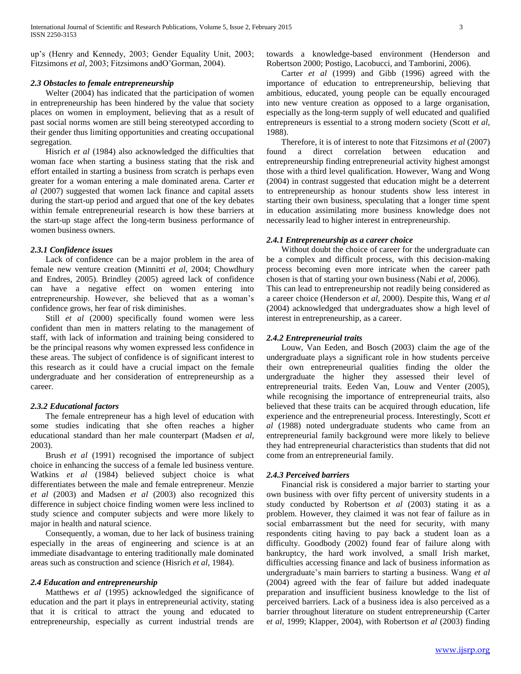up's (Henry and Kennedy, 2003; Gender Equality Unit, 2003; Fitzsimons *et al*, 2003; Fitzsimons andO'Gorman, 2004).

# *2.3 Obstacles to female entrepreneurship*

 Welter (2004) has indicated that the participation of women in entrepreneurship has been hindered by the value that society places on women in employment, believing that as a result of past social norms women are still being stereotyped according to their gender thus limiting opportunities and creating occupational segregation.

Hisrich *et al* (1984) also acknowledged the difficulties that woman face when starting a business stating that the risk and effort entailed in starting a business from scratch is perhaps even greater for a woman entering a male dominated arena. Carter *et al* (2007) suggested that women lack finance and capital assets during the start-up period and argued that one of the key debates within female entrepreneurial research is how these barriers at the start-up stage affect the long-term business performance of women business owners.

#### *2.3.1 Confidence issues*

 Lack of confidence can be a major problem in the area of female new venture creation (Minnitti *et al*, 2004; Chowdhury and Endres, 2005). Brindley (2005) agreed lack of confidence can have a negative effect on women entering into entrepreneurship. However, she believed that as a woman's confidence grows, her fear of risk diminishes.

Still *et al* (2000) specifically found women were less confident than men in matters relating to the management of staff, with lack of information and training being considered to be the principal reasons why women expressed less confidence in these areas. The subject of confidence is of significant interest to this research as it could have a crucial impact on the female undergraduate and her consideration of entrepreneurship as a career.

# *2.3.2 Educational factors*

 The female entrepreneur has a high level of education with some studies indicating that she often reaches a higher educational standard than her male counterpart (Madsen *et al,*  2003).

 Brush *et al* (1991) recognised the importance of subject choice in enhancing the success of a female led business venture. Watkins *et al* (1984) believed subject choice is what differentiates between the male and female entrepreneur. Menzie *et al* (2003) and Madsen *et al* (2003) also recognized this difference in subject choice finding women were less inclined to study science and computer subjects and were more likely to major in health and natural science.

 Consequently, a woman, due to her lack of business training especially in the areas of engineering and science is at an immediate disadvantage to entering traditionally male dominated areas such as construction and science (Hisrich *et al*, 1984).

# *2.4 Education and entrepreneurship*

Matthews *et al* (1995) acknowledged the significance of education and the part it plays in entrepreneurial activity, stating that it is critical to attract the young and educated to entrepreneurship, especially as current industrial trends are

towards a knowledge-based environment (Henderson and Robertson 2000; Postigo, Lacobucci, and Tamborini, 2006).

 Carter *et al* (1999) and Gibb (1996) agreed with the importance of education to entrepreneurship, believing that ambitious, educated, young people can be equally encouraged into new venture creation as opposed to a large organisation, especially as the long-term supply of well educated and qualified entrepreneurs is essential to a strong modern society (Scott *et al,*  1988).

 Therefore, it is of interest to note that Fitzsimons *et al* (2007) found a direct correlation between education and entrepreneurship finding entrepreneurial activity highest amongst those with a third level qualification. However, Wang and Wong (2004) in contrast suggested that education might be a deterrent to entrepreneurship as honour students show less interest in starting their own business, speculating that a longer time spent in education assimilating more business knowledge does not necessarily lead to higher interest in entrepreneurship.

#### *2.4.1 Entrepreneurship as a career choice*

 Without doubt the choice of career for the undergraduate can be a complex and difficult process, with this decision-making process becoming even more intricate when the career path chosen is that of starting your own business (Nabi *et al*, 2006). This can lead to entrepreneurship not readily being considered as a career choice (Henderson *et al,* 2000). Despite this, Wang *et al*  (2004) acknowledged that undergraduates show a high level of interest in entrepreneurship, as a career.

# *2.4.2 Entrepreneurial traits*

 Louw, Van Eeden, and Bosch (2003) claim the age of the undergraduate plays a significant role in how students perceive their own entrepreneurial qualities finding the older the undergraduate the higher they assessed their level of entrepreneurial traits. Eeden Van, Louw and Venter (2005), while recognising the importance of entrepreneurial traits, also believed that these traits can be acquired through education, life experience and the entrepreneurial process. Interestingly, Scott *et al* (1988) noted undergraduate students who came from an entrepreneurial family background were more likely to believe they had entrepreneurial characteristics than students that did not come from an entrepreneurial family.

# *2.4.3 Perceived barriers*

 Financial risk is considered a major barrier to starting your own business with over fifty percent of university students in a study conducted by Robertson *et al* (2003) stating it as a problem. However, they claimed it was not fear of failure as in social embarrassment but the need for security, with many respondents citing having to pay back a student loan as a difficulty. Goodbody (2002) found fear of failure along with bankruptcy, the hard work involved, a small Irish market, difficulties accessing finance and lack of business information as undergraduate's main barriers to starting a business. Wang *et al*  (2004) agreed with the fear of failure but added inadequate preparation and insufficient business knowledge to the list of perceived barriers. Lack of a business idea is also perceived as a barrier throughout literature on student entrepreneurship (Carter e*t al,* 1999; Klapper, 2004), with Robertson *et al* (2003) finding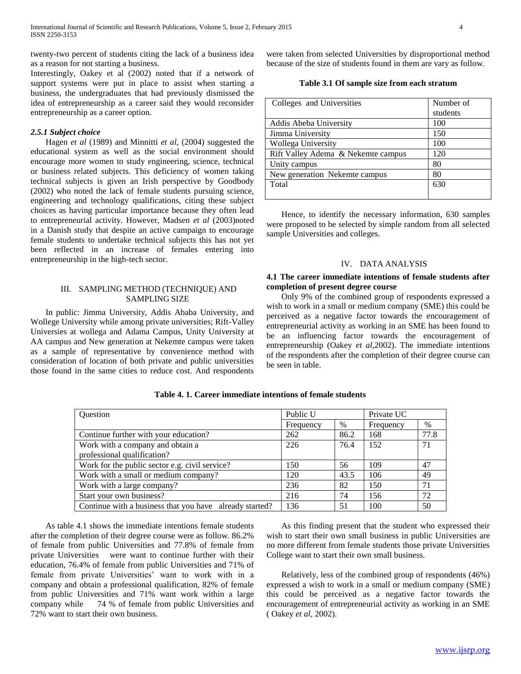twenty-two percent of students citing the lack of a business idea as a reason for not starting a business.

Interestingly, Oakey et al (2002) noted that if a network of support systems were put in place to assist when starting a business, the undergraduates that had previously dismissed the idea of entrepreneurship as a career said they would reconsider entrepreneurship as a career option.

#### *2.5.1 Subject choice*

 Hagen *et al* (1989) and Minnitti *et al,* (2004) suggested the educational system as well as the social environment should encourage more women to study engineering, science, technical or business related subjects. This deficiency of women taking technical subjects is given an Irish perspective by Goodbody (2002) who noted the lack of female students pursuing science, engineering and technology qualifications, citing these subject choices as having particular importance because they often lead to entrepreneurial activity. However, Madsen *et al* (2003)noted in a Danish study that despite an active campaign to encourage female students to undertake technical subjects this has not yet been reflected in an increase of females entering into entrepreneurship in the high-tech sector.

#### III. SAMPLING METHOD (TECHNIQUE) AND SAMPLING SIZE

 In public: Jimma University, Addis Ababa University, and Wollege University while among private universities; Rift-Valley Universies at wollega and Adama Campus, Unity University at AA campus and New generation at Nekemte campus were taken as a sample of representative by convenience method with consideration of location of both private and public universities those found in the same cities to reduce cost. And respondents

were taken from selected Universities by disproportional method because of the size of students found in them are vary as follow.

# **Table 3.1 Of sample size from each stratum**

| Colleges and Universities          | Number of |
|------------------------------------|-----------|
|                                    | students  |
| Addis Abeba University             | 100       |
| Jimma University                   | 150       |
| Wollega University                 | 100       |
| Rift Valley Adema & Nekemte campus | 120       |
| Unity campus                       | 80        |
| New generation Nekemte campus      | 80        |
| Total                              | 630       |
|                                    |           |

 Hence, to identify the necessary information, 630 samples were proposed to be selected by simple random from all selected sample Universities and colleges.

# IV. DATA ANALYSIS

# **4.1 The career immediate intentions of female students after completion of present degree course**

 Only 9% of the combined group of respondents expressed a wish to work in a small or medium company (SME) this could be perceived as a negative factor towards the encouragement of entrepreneurial activity as working in an SME has been found to be an influencing factor towards the encouragement of entrepreneurship (Oakey *et al*,2002). The immediate intentions of the respondents after the completion of their degree course can be seen in table.

| Question                                                | Public U  |      | Private UC |      |
|---------------------------------------------------------|-----------|------|------------|------|
|                                                         | Frequency | $\%$ | Frequency  | $\%$ |
| Continue further with your education?                   | 262       | 86.2 | 168        | 77.8 |
| Work with a company and obtain a                        | 226       | 76.4 | 152        | 71   |
| professional qualification?                             |           |      |            |      |
| Work for the public sector e.g. civil service?          | 150       | 56   | 109        | 47   |
| Work with a small or medium company?                    | 120       | 43.5 | 106        | 49   |
| Work with a large company?                              | 236       | 82   | 150        | 71   |
| Start your own business?                                | 216       | 74   | 156        | 72   |
| Continue with a business that you have already started? | 136       | 51   | 100        | 50   |

**Table 4. 1. Career immediate intentions of female students**

 As table 4.1 shows the immediate intentions female students after the completion of their degree course were as follow. 86.2% of female from public Universities and 77.8% of female from private Universities were want to continue further with their education, 76.4% of female from public Universities and 71% of female from private Universities' want to work with in a company and obtain a professional qualification, 82% of female from public Universities and 71% want work within a large company while 74 % of female from public Universities and 72% want to start their own business.

 As this finding present that the student who expressed their wish to start their own small business in public Universities are no more different from female students those private Universities College want to start their own small business.

 Relatively, less of the combined group of respondents (46%) expressed a wish to work in a small or medium company (SME) this could be perceived as a negative factor towards the encouragement of entrepreneurial activity as working in an SME ( Oakey *et al*, 2002).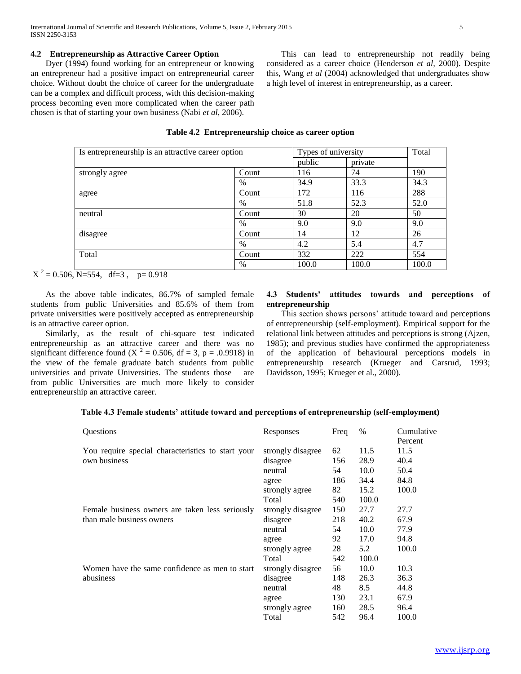# **4.2 Entrepreneurship as Attractive Career Option**

 Dyer (1994) found working for an entrepreneur or knowing an entrepreneur had a positive impact on entrepreneurial career choice. Without doubt the choice of career for the undergraduate can be a complex and difficult process, with this decision-making process becoming even more complicated when the career path chosen is that of starting your own business (Nabi *et al*, 2006).

 This can lead to entrepreneurship not readily being considered as a career choice (Henderson *et al,* 2000). Despite this, Wang *et al* (2004) acknowledged that undergraduates show a high level of interest in entrepreneurship, as a career.

| Is entrepreneurship is an attractive career option |               | Types of university | Total   |       |
|----------------------------------------------------|---------------|---------------------|---------|-------|
|                                                    |               | public              | private |       |
| strongly agree                                     | Count         | 116                 | 74      | 190   |
|                                                    | $\%$          | 34.9                | 33.3    | 34.3  |
| agree                                              | Count         | 172                 | 116     | 288   |
|                                                    | $\%$          | 51.8                | 52.3    | 52.0  |
| neutral                                            | Count         | 30                  | 20      | 50    |
|                                                    | $\frac{0}{0}$ | 9.0                 | 9.0     | 9.0   |
| disagree                                           | Count         | 14                  | 12      | 26    |
|                                                    | $\%$          | 4.2                 | 5.4     | 4.7   |
| Total                                              | Count         | 332                 | 222     | 554   |
|                                                    | $\frac{0}{0}$ | 100.0               | 100.0   | 100.0 |

#### **Table 4.2 Entrepreneurship choice as career option**

 $X^2 = 0.506$ , N=554, df=3, p= 0.918

 As the above table indicates, 86.7% of sampled female students from public Universities and 85.6% of them from private universities were positively accepted as entrepreneurship is an attractive career option.

 Similarly, as the result of chi-square test indicated entrepreneurship as an attractive career and there was no significant difference found (X  $^2$  = 0.506, df = 3, p = .0.9918) in the view of the female graduate batch students from public universities and private Universities. The students those are from public Universities are much more likely to consider entrepreneurship an attractive career.

# **4.3 Students' attitudes towards and perceptions of entrepreneurship**

 This section shows persons' attitude toward and perceptions of entrepreneurship (self-employment). Empirical support for the relational link between attitudes and perceptions is strong (Ajzen, 1985); and previous studies have confirmed the appropriateness of the application of behavioural perceptions models in entrepreneurship research (Krueger and Carsrud, 1993; Davidsson, 1995; Krueger et al., 2000).

# **Table 4.3 Female students' attitude toward and perceptions of entrepreneurship (self-employment)**

| Questions                                         | Responses         | Freq | $\%$  | Cumulative<br>Percent |
|---------------------------------------------------|-------------------|------|-------|-----------------------|
| You require special characteristics to start your | strongly disagree | 62   | 11.5  | 11.5                  |
| own business                                      | disagree          | 156  | 28.9  | 40.4                  |
|                                                   | neutral           | 54   | 10.0  | 50.4                  |
|                                                   | agree             | 186  | 34.4  | 84.8                  |
|                                                   | strongly agree    | 82   | 15.2  | 100.0                 |
|                                                   | Total             | 540  | 100.0 |                       |
| Female business owners are taken less seriously   | strongly disagree | 150  | 27.7  | 27.7                  |
| than male business owners                         | disagree          | 218  | 40.2  | 67.9                  |
|                                                   | neutral           | 54   | 10.0  | 77.9                  |
|                                                   | agree             | 92   | 17.0  | 94.8                  |
|                                                   | strongly agree    | 28   | 5.2   | 100.0                 |
|                                                   | Total             | 542  | 100.0 |                       |
| Women have the same confidence as men to start    | strongly disagree | 56   | 10.0  | 10.3                  |
| abusiness                                         | disagree          | 148  | 26.3  | 36.3                  |
|                                                   | neutral           | 48   | 8.5   | 44.8                  |
|                                                   | agree             | 130  | 23.1  | 67.9                  |
|                                                   | strongly agree    | 160  | 28.5  | 96.4                  |
|                                                   | Total             | 542  | 96.4  | 100.0                 |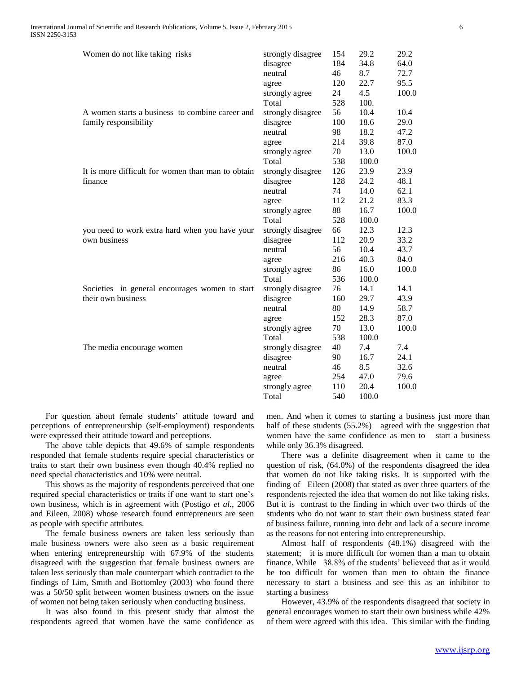| Women do not like taking risks                    | strongly disagree | 154 | 29.2  | 29.2  |
|---------------------------------------------------|-------------------|-----|-------|-------|
|                                                   | disagree          | 184 | 34.8  | 64.0  |
|                                                   | neutral           | 46  | 8.7   | 72.7  |
|                                                   | agree             | 120 | 22.7  | 95.5  |
|                                                   | strongly agree    | 24  | 4.5   | 100.0 |
|                                                   | Total             | 528 | 100.  |       |
| A women starts a business to combine career and   | strongly disagree | 56  | 10.4  | 10.4  |
| family responsibility                             | disagree          | 100 | 18.6  | 29.0  |
|                                                   | neutral           | 98  | 18.2  | 47.2  |
|                                                   | agree             | 214 | 39.8  | 87.0  |
|                                                   | strongly agree    | 70  | 13.0  | 100.0 |
|                                                   | Total             | 538 | 100.0 |       |
| It is more difficult for women than man to obtain | strongly disagree | 126 | 23.9  | 23.9  |
| finance                                           | disagree          | 128 | 24.2  | 48.1  |
|                                                   | neutral           | 74  | 14.0  | 62.1  |
|                                                   | agree             | 112 | 21.2  | 83.3  |
|                                                   | strongly agree    | 88  | 16.7  | 100.0 |
|                                                   | Total             | 528 | 100.0 |       |
| you need to work extra hard when you have your    | strongly disagree | 66  | 12.3  | 12.3  |
| own business                                      | disagree          | 112 | 20.9  | 33.2  |
|                                                   | neutral           | 56  | 10.4  | 43.7  |
|                                                   | agree             | 216 | 40.3  | 84.0  |
|                                                   | strongly agree    | 86  | 16.0  | 100.0 |
|                                                   | Total             | 536 | 100.0 |       |
| Societies in general encourages women to start    | strongly disagree | 76  | 14.1  | 14.1  |
| their own business                                | disagree          | 160 | 29.7  | 43.9  |
|                                                   | neutral           | 80  | 14.9  | 58.7  |
|                                                   | agree             | 152 | 28.3  | 87.0  |
|                                                   | strongly agree    | 70  | 13.0  | 100.0 |
|                                                   | Total             | 538 | 100.0 |       |
| The media encourage women                         | strongly disagree | 40  | 7.4   | 7.4   |
|                                                   | disagree          | 90  | 16.7  | 24.1  |
|                                                   | neutral           | 46  | 8.5   | 32.6  |
|                                                   | agree             | 254 | 47.0  | 79.6  |
|                                                   | strongly agree    | 110 | 20.4  | 100.0 |
|                                                   | Total             | 540 | 100.0 |       |
|                                                   |                   |     |       |       |

 For question about female students' attitude toward and perceptions of entrepreneurship (self-employment) respondents were expressed their attitude toward and perceptions.

 The above table depicts that 49.6% of sample respondents responded that female students require special characteristics or traits to start their own business even though 40.4% replied no need special characteristics and 10% were neutral.

 This shows as the majority of respondents perceived that one required special characteristics or traits if one want to start one's own business, which is in agreement with (Postigo *et al.,* 2006 and Eileen, 2008) whose research found entrepreneurs are seen as people with specific attributes.

 The female business owners are taken less seriously than male business owners were also seen as a basic requirement when entering entrepreneurship with 67.9% of the students disagreed with the suggestion that female business owners are taken less seriously than male counterpart which contradict to the findings of Lim, Smith and Bottomley (2003) who found there was a 50/50 split between women business owners on the issue of women not being taken seriously when conducting business.

 It was also found in this present study that almost the respondents agreed that women have the same confidence as men. And when it comes to starting a business just more than half of these students (55.2%) agreed with the suggestion that women have the same confidence as men to start a business while only 36.3% disagreed.

 There was a definite disagreement when it came to the question of risk, (64.0%) of the respondents disagreed the idea that women do not like taking risks. It is supported with the finding of Eileen (2008) that stated as over three quarters of the respondents rejected the idea that women do not like taking risks. But it is contrast to the finding in which over two thirds of the students who do not want to start their own business stated fear of business failure, running into debt and lack of a secure income as the reasons for not entering into entrepreneurship.

 Almost half of respondents (48.1%) disagreed with the statement; it is more difficult for women than a man to obtain finance. While 38.8% of the students' believeed that as it would be too difficult for women than men to obtain the finance necessary to start a business and see this as an inhibitor to starting a business

 However, 43.9% of the respondents disagreed that society in general encourages women to start their own business while 42% of them were agreed with this idea. This similar with the finding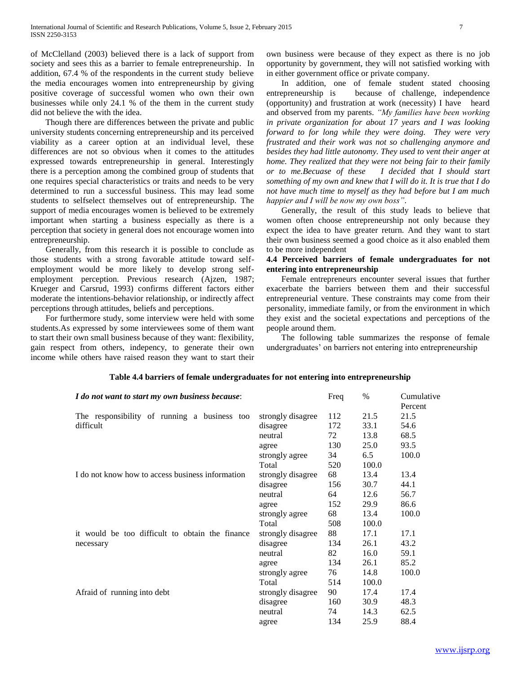of McClelland (2003) believed there is a lack of support from society and sees this as a barrier to female entrepreneurship. In addition, 67.4 % of the respondents in the current study believe the media encourages women into entrepreneurship by giving positive coverage of successful women who own their own businesses while only 24.1 % of the them in the current study did not believe the with the idea.

 Though there are differences between the private and public university students concerning entrepreneurship and its perceived viability as a career option at an individual level, these differences are not so obvious when it comes to the attitudes expressed towards entrepreneurship in general. Interestingly there is a perception among the combined group of students that one requires special characteristics or traits and needs to be very determined to run a successful business. This may lead some students to selfselect themselves out of entrepreneurship. The support of media encourages women is believed to be extremely important when starting a business especially as there is a perception that society in general does not encourage women into entrepreneurship.

 Generally, from this research it is possible to conclude as those students with a strong favorable attitude toward selfemployment would be more likely to develop strong selfemployment perception. Previous research (Ajzen, 1987; Krueger and Carsrud, 1993) confirms different factors either moderate the intentions-behavior relationship, or indirectly affect perceptions through attitudes, beliefs and perceptions.

 For furthermore study, some interview were held with some students.As expressed by some interviewees some of them want to start their own small business because of they want: flexibility, gain respect from others, indepency, to generate their own income while others have raised reason they want to start their own business were because of they expect as there is no job opportunity by government, they will not satisfied working with in either government office or private company.

 In addition, one of female student stated choosing entrepreneurship is because of challenge, independence (opportunity) and frustration at work (necessity) I have heard and observed from my parents. *"My families have been working in private organization for about 17 years and I was looking forward to for long while they were doing. They were very frustrated and their work was not so challenging anymore and besides they had little autonomy. They used to vent their anger at home. They realized that they were not being fair to their family or to me.Becuase of these I decided that I should start something of my own and knew that I will do it. It is true that I do not have much time to myself as they had before but I am much happier and I will be now my own boss"*.

 Generally, the result of this study leads to believe that women often choose entrepreneurship not only because they expect the idea to have greater return. And they want to start their own business seemed a good choice as it also enabled them to be more independent

# **4.4 Perceived barriers of female undergraduates for not entering into entrepreneurship**

 Female entrepreneurs encounter several issues that further exacerbate the barriers between them and their successful entrepreneurial venture. These constraints may come from their personality, immediate family, or from the environment in which they exist and the societal expectations and perceptions of the people around them.

 The following table summarizes the response of female undergraduates' on barriers not entering into entrepreneurship

| I do not want to start my own business because:  |                   | Freq | $\%$  | Cumulative<br>Percent |
|--------------------------------------------------|-------------------|------|-------|-----------------------|
| The responsibility of running a business too     | strongly disagree | 112  | 21.5  | 21.5                  |
| difficult                                        | disagree          | 172  | 33.1  | 54.6                  |
|                                                  | neutral           | 72   | 13.8  | 68.5                  |
|                                                  | agree             | 130  | 25.0  | 93.5                  |
|                                                  | strongly agree    | 34   | 6.5   | 100.0                 |
|                                                  | Total             | 520  | 100.0 |                       |
| I do not know how to access business information | strongly disagree | 68   | 13.4  | 13.4                  |
|                                                  | disagree          | 156  | 30.7  | 44.1                  |
|                                                  | neutral           | 64   | 12.6  | 56.7                  |
|                                                  | agree             | 152  | 29.9  | 86.6                  |
|                                                  | strongly agree    | 68   | 13.4  | 100.0                 |
|                                                  | Total             | 508  | 100.0 |                       |
| it would be too difficult to obtain the finance  | strongly disagree | 88   | 17.1  | 17.1                  |
| necessary                                        | disagree          | 134  | 26.1  | 43.2                  |
|                                                  | neutral           | 82   | 16.0  | 59.1                  |
|                                                  | agree             | 134  | 26.1  | 85.2                  |
|                                                  | strongly agree    | 76   | 14.8  | 100.0                 |
|                                                  | Total             | 514  | 100.0 |                       |
| Afraid of running into debt                      | strongly disagree | 90   | 17.4  | 17.4                  |
|                                                  | disagree          | 160  | 30.9  | 48.3                  |
|                                                  | neutral           | 74   | 14.3  | 62.5                  |
|                                                  | agree             | 134  | 25.9  | 88.4                  |

# **Table 4.4 barriers of female undergraduates for not entering into entrepreneurship**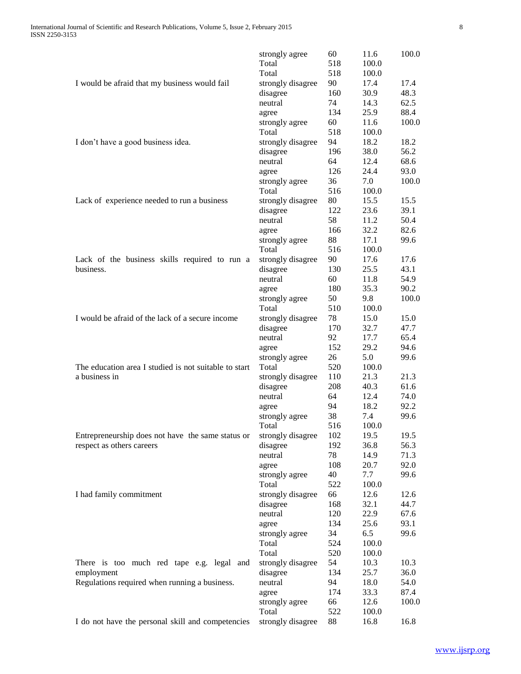|                                                         | strongly agree          | 60         | 11.6           | 100.0        |
|---------------------------------------------------------|-------------------------|------------|----------------|--------------|
|                                                         | Total                   | 518        | 100.0          |              |
|                                                         | Total                   | 518        | 100.0          |              |
| I would be afraid that my business would fail           | strongly disagree       | 90         | 17.4           | 17.4         |
|                                                         | disagree                | 160        | 30.9           | 48.3         |
|                                                         | neutral                 | 74         | 14.3           | 62.5         |
|                                                         | agree                   | 134        | 25.9           | 88.4         |
|                                                         | strongly agree          | 60         | 11.6           | 100.0        |
|                                                         | Total                   | 518        | 100.0          |              |
| I don't have a good business idea.                      | strongly disagree       | 94         | 18.2           | 18.2         |
|                                                         | disagree                | 196        | 38.0           | 56.2         |
|                                                         | neutral                 | 64         | 12.4           | 68.6         |
|                                                         | agree                   | 126        | 24.4           | 93.0         |
|                                                         | strongly agree          | 36         | 7.0            | 100.0        |
|                                                         | Total                   | 516        | 100.0          |              |
| Lack of experience needed to run a business             | strongly disagree       | 80         | 15.5           | 15.5         |
|                                                         | disagree                | 122        | 23.6           | 39.1         |
|                                                         | neutral                 | 58         | 11.2           | 50.4         |
|                                                         | agree                   | 166        | 32.2           | 82.6         |
|                                                         | strongly agree          | 88         | 17.1           | 99.6         |
|                                                         | Total                   | 516        | 100.0          |              |
| Lack of the business skills required to run a           | strongly disagree       | 90         | 17.6           | 17.6         |
| business.                                               | disagree                | 130        | 25.5           | 43.1         |
|                                                         | neutral                 | 60         | 11.8           | 54.9         |
|                                                         | agree                   | 180        | 35.3           | 90.2         |
|                                                         | strongly agree          | 50         | 9.8            | 100.0        |
|                                                         | Total                   | 510        | 100.0          |              |
| I would be afraid of the lack of a secure income        | strongly disagree       | 78         | 15.0           | 15.0         |
|                                                         | disagree                | 170        | 32.7           | 47.7         |
|                                                         | neutral                 | 92         | 17.7           | 65.4         |
|                                                         | agree                   | 152        | 29.2           | 94.6         |
|                                                         | strongly agree          | 26         | 5.0            | 99.6         |
| The education area I studied is not suitable to start   | Total                   | 520        | 100.0          |              |
| a business in                                           | strongly disagree       | 110        | 21.3           | 21.3         |
|                                                         | disagree                | 208        | 40.3           | 61.6         |
|                                                         | neutral                 | 64         | 12.4           | 74.0         |
|                                                         | agree                   | 94         | 18.2           | 92.2         |
|                                                         | strongly agree          | 38         | 7.4            | 99.6         |
|                                                         | Total                   | 516        | 100.0          |              |
| Entrepreneurship does not have the same status or       | strongly disagree       | 102        | 19.5           | 19.5         |
| respect as others careers                               | disagree                | 192        | 36.8           | 56.3         |
|                                                         | neutral                 | 78         | 14.9           | 71.3         |
|                                                         | agree                   | 108        | 20.7           | 92.0         |
|                                                         | strongly agree          | 40         | 7.7            | 99.6         |
|                                                         | Total                   | 522        | 100.0          |              |
| I had family commitment                                 | strongly disagree       | 66         | 12.6           | 12.6         |
|                                                         | disagree                | 168        | 32.1           | 44.7         |
|                                                         | neutral                 | 120        | 22.9<br>25.6   | 67.6<br>93.1 |
|                                                         | agree                   | 134<br>34  | 6.5            | 99.6         |
|                                                         | strongly agree          |            |                |              |
|                                                         | Total<br>Total          | 524<br>520 | 100.0<br>100.0 |              |
|                                                         | strongly disagree       | 54         | 10.3           | 10.3         |
| There is too much red tape e.g. legal and<br>employment | disagree                | 134        | 25.7           | 36.0         |
| Regulations required when running a business.           | neutral                 | 94         | 18.0           | 54.0         |
|                                                         |                         | 174        | 33.3           | 87.4         |
|                                                         | agree<br>strongly agree | 66         | 12.6           | 100.0        |
|                                                         | Total                   | 522        | 100.0          |              |
| I do not have the personal skill and competencies       | strongly disagree       | 88         | 16.8           | 16.8         |
|                                                         |                         |            |                |              |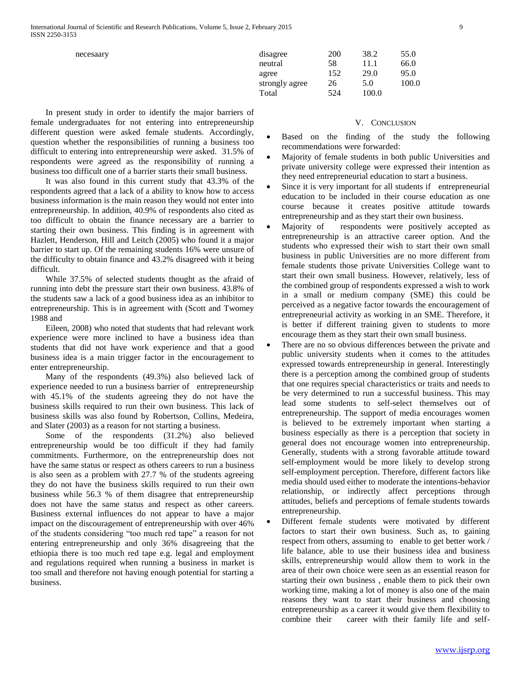| necesaary | disagree       | 200 | 38.2  | 55.0  |
|-----------|----------------|-----|-------|-------|
|           | neutral        | 58  |       | 66.0  |
|           | agree          | 152 | 29.0  | 95.0  |
|           | strongly agree | 26  | 5.0   | 100.0 |
|           | Total          | 524 | 100.0 |       |

#### V. CONCLUSION

- Based on the finding of the study the following recommendations were forwarded:
- Majority of female students in both public Universities and private university college were expressed their intention as they need entrepreneurial education to start a business.
- Since it is very important for all students if entrepreneurial education to be included in their course education as one course because it creates positive attitude towards entrepreneurship and as they start their own business.
- Majority of respondents were positively accepted as entrepreneurship is an attractive career option. And the students who expressed their wish to start their own small business in public Universities are no more different from female students those private Universities College want to start their own small business. However, relatively, less of the combined group of respondents expressed a wish to work in a small or medium company (SME) this could be perceived as a negative factor towards the encouragement of entrepreneurial activity as working in an SME. Therefore, it is better if different training given to students to more encourage them as they start their own small business.
- There are no so obvious differences between the private and public university students when it comes to the attitudes expressed towards entrepreneurship in general. Interestingly there is a perception among the combined group of students that one requires special characteristics or traits and needs to be very determined to run a successful business. This may lead some students to self-select themselves out of entrepreneurship. The support of media encourages women is believed to be extremely important when starting a business especially as there is a perception that society in general does not encourage women into entrepreneurship. Generally, students with a strong favorable attitude toward self-employment would be more likely to develop strong self-employment perception. Therefore, different factors like media should used either to moderate the intentions-behavior relationship, or indirectly affect perceptions through attitudes, beliefs and perceptions of female students towards entrepreneurship.
- Different female students were motivated by different factors to start their own business. Such as, to gaining respect from others, assuming to enable to get better work / life balance, able to use their business idea and business skills, entrepreneurship would allow them to work in the area of their own choice were seen as an essential reason for starting their own business , enable them to pick their own working time, making a lot of money is also one of the main reasons they want to start their business and choosing entrepreneurship as a career it would give them flexibility to combine their career with their family life and self-

 In present study in order to identify the major barriers of female undergraduates for not entering into entrepreneurship different question were asked female students. Accordingly, question whether the responsibilities of running a business too difficult to entering into entrepreneurship were asked. 31.5% of respondents were agreed as the responsibility of running a business too difficult one of a barrier starts their small business.

 It was also found in this current study that 43.3% of the respondents agreed that a lack of a ability to know how to access business information is the main reason they would not enter into entrepreneurship. In addition, 40.9% of respondents also cited as too difficult to obtain the finance necessary are a barrier to starting their own business. This finding is in agreement with Hazlett, Henderson, Hill and Leitch (2005) who found it a major barrier to start up. Of the remaining students 16% were unsure of the difficulty to obtain finance and 43.2% disagreed with it being difficult.

 While 37.5% of selected students thought as the afraid of running into debt the pressure start their own business. 43.8% of the students saw a lack of a good business idea as an inhibitor to entrepreneurship. This is in agreement with (Scott and Twomey 1988 and

 Eileen, 2008) who noted that students that had relevant work experience were more inclined to have a business idea than students that did not have work experience and that a good business idea is a main trigger factor in the encouragement to enter entrepreneurship.

 Many of the respondents (49.3%) also believed lack of experience needed to run a business barrier of entrepreneurship with 45.1% of the students agreeing they do not have the business skills required to run their own business. This lack of business skills was also found by Robertson, Collins, Medeira, and Slater (2003) as a reason for not starting a business.

 Some of the respondents (31.2%) also believed entrepreneurship would be too difficult if they had family commitments. Furthermore, on the entrepreneurship does not have the same status or respect as others careers to run a business is also seen as a problem with 27.7 % of the students agreeing they do not have the business skills required to run their own business while 56.3 % of them disagree that entrepreneurship does not have the same status and respect as other careers. Business external influences do not appear to have a major impact on the discouragement of entrepreneurship with over 46% of the students considering "too much red tape" a reason for not entering entrepreneurship and only 36% disagreeing that the ethiopia there is too much red tape e.g. legal and employment and regulations required when running a business in market is too small and therefore not having enough potential for starting a business.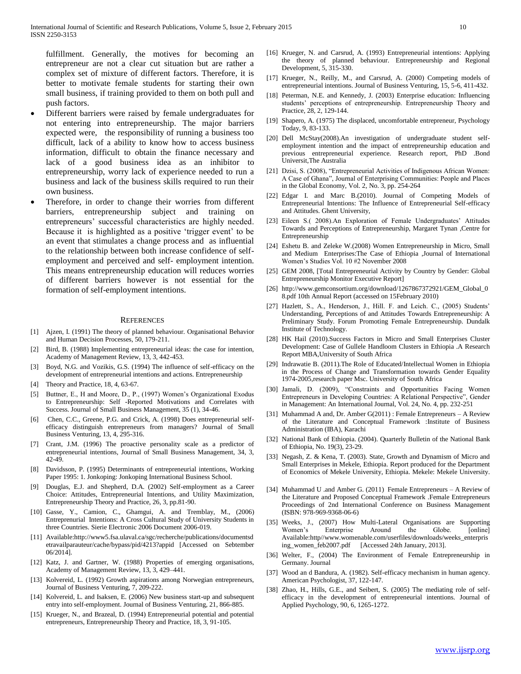fulfillment. Generally, the motives for becoming an entrepreneur are not a clear cut situation but are rather a complex set of mixture of different factors. Therefore, it is better to motivate female students for starting their own small business, if training provided to them on both pull and push factors.

- Different barriers were raised by female undergraduates for not entering into entrepreneurship. The major barriers expected were, the responsibility of running a business too difficult, lack of a ability to know how to access business information, difficult to obtain the finance necessary and lack of a good business idea as an inhibitor to entrepreneurship, worry lack of experience needed to run a business and lack of the business skills required to run their own business.
- Therefore, in order to change their worries from different barriers, entrepreneurship subject and training on entrepreneurs' successful characteristics are highly needed. Because it is highlighted as a positive 'trigger event' to be an event that stimulates a change process and as influential to the relationship between both increase confidence of selfemployment and perceived and self- employment intention. This means entrepreneurship education will reduces worries of different barriers however is not essential for the formation of self-employment intentions.

#### **REFERENCES**

- [1] Ajzen, I. (1991) The theory of planned behaviour. Organisational Behavior and Human Decision Processes, 50, 179-211.
- Bird, B. (1988) Implementing entrepreneurial ideas: the case for intention, Academy of Management Review, 13, 3, 442-453.
- [3] Boyd, N.G. and Vozikis, G.S. (1994) The influence of self-efficacy on the development of entrepreneurial intentions and actions. Entrepreneurship
- [4] Theory and Practice, 18, 4, 63-67.
- [5] Buttner, E., H and Moore, D., P., (1997) Women's Organizational Exodus to Entrepreneurship: Self -Reported Motivations and Correlates with Success. Journal of Small Business Management, 35 (1), 34-46.
- [6] Chen, C.C., Greene, P.G. and Crick, A. (1998) Does entrepreneurial selfefficacy distinguish entrepreneurs from managers? Journal of Small Business Venturing, 13, 4, 295-316.
- [7] Crant, J.M. (1996) The proactive personality scale as a predictor of entrepreneurial intentions, Journal of Small Business Management, 34, 3, 42-49.
- [8] Davidsson, P. (1995) Determinants of entrepreneurial intentions, Working Paper 1995: 1. Jonkoping: Jonkoping International Business School.
- [9] Douglas, E.J. and Shepherd, D.A. (2002) Self-employment as a Career Choice: Attitudes, Entrepreneurial Intentions, and Utility Maximization, Entrepreneurship Theory and Practice, 26, 3, pp.81-90.
- [10] Gasse, Y., Camion, C., Ghamgui, A. and Tremblay, M., (2006) Entreprenurial Intentions: A Cross Cultural Study of University Students in three Countries. Sierie Electronic 2006 Document 2006-019.
- [11] Available:http://www5.fsa.ulaval.ca/sgc/recherche/publications/documentsd etravailparauteur/cache/bypass/pid/4213?appid [Accessed on Sebtember 06/2014].
- [12] Katz, J. and Gartner, W. (1988) Properties of emerging organisations, Academy of Management Review, 13, 3, 429–441.
- [13] Kolvereid, L. (1992) Growth aspirations among Norwegian entrepreneurs, Journal of Business Venturing, 7, 209-222.
- [14] Kolvereid, L. and Isaksen, E. (2006) New business start-up and subsequent entry into self-employment. Journal of Business Venturing, 21, 866-885.
- [15] Krueger, N., and Brazeal, D. (1994) Entrepreneurial potential and potential entrepreneurs, Entrepreneurship Theory and Practice, 18, 3, 91-105.
- [16] Krueger, N. and Carsrud, A. (1993) Entrepreneurial intentions: Applying the theory of planned behaviour. Entrepreneurship and Regional Development, 5, 315-330.
- [17] Krueger, N., Reilly, M., and Carsrud, A. (2000) Competing models of entrepreneurial intentions. Journal of Business Venturing, 15, 5-6, 411-432.
- [18] Peterman, N.E. and Kennedy, J. (2003) Enterprise education: Influencing students' perceptions of entrepreneurship. Entrepreneurship Theory and Practice, 28, 2, 129-144.
- [19] Shapero, A. (1975) The displaced, uncomfortable entrepreneur, Psychology Today, 9, 83-133.
- [20] Dell McStay(2008).An investigation of undergraduate student selfemployment intention and the impact of entrepreneurship education and previous entrepreneurial experience. Research report, PhD .Bond Universit,The Australia
- [21] Dzisi, S. (2008), "Entrepreneurial Activities of Indigenous African Women: A Case of Ghana", Journal of Enterprising Communities: People and Places in the Global Economy, Vol. 2, No. 3, pp. 254-264
- [22] Edgar I. and Marc B.(2010). Journal of Competing Models of Entrepreneurial Intentions: The Influence of Entrepreneurial Self-efficacy and Attitudes. Ghent University,
- [23] Eileen S.( 2008).An Exploration of Female Undergraduates' Attitudes Towards and Perceptions of Entrepreneurship, Margaret Tynan ,Centre for Entrepreneurship
- [24] Eshetu B. and Zeleke W.(2008) Women Entrepreneurship in Micro, Small and Medium Enterprises:The Case of Ethiopia ,Journal of International Women's Studies Vol. 10 #2 November 2008
- [25] GEM 2008, [Total Entrepreneurial Activity by Country by Gender: Global Entrepreneurship Monitor Executive Report]
- [26] http://www.gemconsortium.org/download/1267867372921/GEM\_Global\_0 8.pdf 10th Annual Report (accessed on 15February 2010)
- [27] Hazlett, S., A., Henderson, J., Hill. F. and Leich. C., (2005) Students' Understanding, Perceptions of and Attitudes Towards Entrepreneurship: A Preliminary Study. Forum Promoting Female Entrepreneurship. Dundalk Institute of Technology.
- [28] HK Hail (2010).Success Factors in Micro and Small Enterprises Cluster Development: Case of Gullele Handloom Clusters in Ethiopia .A Research Report MBA,University of South Africa
- [29] Indrawatie B. (2011).The Role of Educated/Intellectual Women in Ethiopia in the Process of Change and Transformation towards Gender Equality 1974-2005,research paper Msc. University of South Africa
- [30] Jamali, D. (2009), "Constraints and Opportunities Facing Women Entrepreneurs in Developing Countries: A Relational Perspective", Gender in Management: An International Journal, Vol. 24, No. 4, pp. 232-251
- [31] Muhammad A and, Dr. Amber G(2011) : Female Entrepreneurs A Review of the Literature and Conceptual Framework :Institute of Business Administration (IBA), Karachi
- [32] National Bank of Ethiopia. (2004). Quarterly Bulletin of the National Bank of Ethiopia, No. 19(3), 23-29.
- [33] Negash, Z. & Kena, T. (2003). State, Growth and Dynamism of Micro and Small Enterprises in Mekele, Ethiopia. Report produced for the Department of Economics of Mekele University, Ethiopia. Mekele: Mekele University.
- [34] Muhammad U .and Amber G. (2011) Female Entrepreneurs A Review of the Literature and Proposed Conceptual Framework .Female Entrepreneurs Proceedings of 2nd International Conference on Business Management (ISBN: 978-969-9368-06-6)
- [35] Weeks, J., (2007) How Multi-Lateral Organisations are Supporting Women's Enterprise Around the Globe. [online] Available:http//www.womenable.com/userfiles/downloads/weeks\_enterpris ing\_women\_feb2007.pdf [Accessed 24th January, 2013].
- [36] Welter, F., (2004) The Environment of Female Entrepreneurship in Germany. Journal
- [37] Wood an d Bandura, A. (1982). Self-efficacy mechanism in human agency. American Psychologist, 37, 122-147.
- [38] Zhao, H., Hills, G.E., and Seibert, S. (2005) The mediating role of selfefficacy in the development of entrepreneurial intentions. Journal of Applied Psychology, 90, 6, 1265-1272.